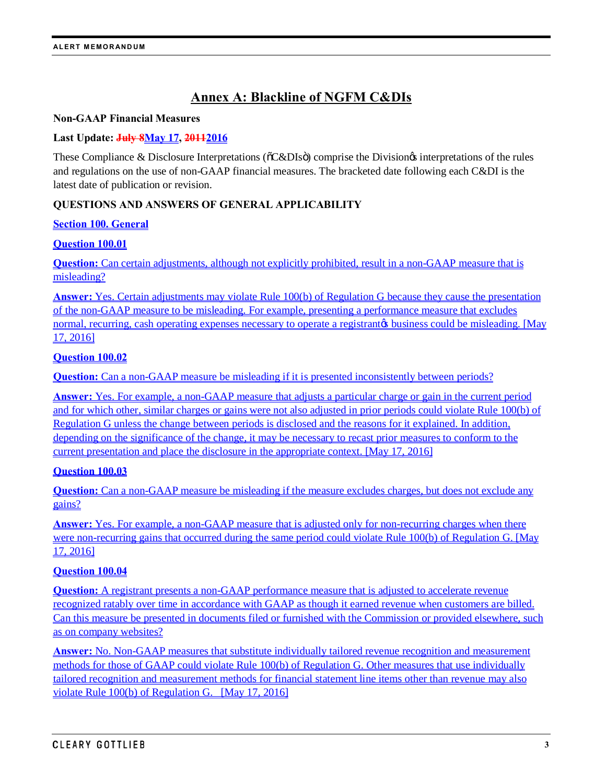# **Annex A: Blackline of NGFM C&DIs**

### **Non-GAAP Financial Measures**

# **Last Update: July 8May 17, 20112016**

These Compliance & Disclosure Interpretations ( $\delta$ C&DIs $\ddot{\text{o}}$ ) comprise the Division $\ddot{\text{o}}$  interpretations of the rules and regulations on the use of non-GAAP financial measures. The bracketed date following each C&DI is the latest date of publication or revision.

# **QUESTIONS AND ANSWERS OF GENERAL APPLICABILITY**

## **Section 100. General**

## **Question 100.01**

**Question:** Can certain adjustments, although not explicitly prohibited, result in a non-GAAP measure that is misleading?

**Answer:** Yes. Certain adjustments may violate Rule 100(b) of Regulation G because they cause the presentation of the non-GAAP measure to be misleading. For example, presenting a performance measure that excludes normal, recurring, cash operating expenses necessary to operate a registrantos business could be misleading. [May 17, 2016]

## **Question 100.02**

**Question:** Can a non-GAAP measure be misleading if it is presented inconsistently between periods?

**Answer:** Yes. For example, a non-GAAP measure that adjusts a particular charge or gain in the current period and for which other, similar charges or gains were not also adjusted in prior periods could violate Rule 100(b) of Regulation G unless the change between periods is disclosed and the reasons for it explained. In addition, depending on the significance of the change, it may be necessary to recast prior measures to conform to the current presentation and place the disclosure in the appropriate context. [May 17, 2016]

# **Question 100.03**

**Question:** Can a non-GAAP measure be misleading if the measure excludes charges, but does not exclude any gains?

**Answer:** Yes. For example, a non-GAAP measure that is adjusted only for non-recurring charges when there were non-recurring gains that occurred during the same period could violate Rule 100(b) of Regulation G. [May 17, 2016]

# **Question 100.04**

**Question:** A registrant presents a non-GAAP performance measure that is adjusted to accelerate revenue recognized ratably over time in accordance with GAAP as though it earned revenue when customers are billed. Can this measure be presented in documents filed or furnished with the Commission or provided elsewhere, such as on company websites?

**Answer:** No. Non-GAAP measures that substitute individually tailored revenue recognition and measurement methods for those of GAAP could violate Rule 100(b) of Regulation G. Other measures that use individually tailored recognition and measurement methods for financial statement line items other than revenue may also violate Rule 100(b) of Regulation G. [May 17, 2016]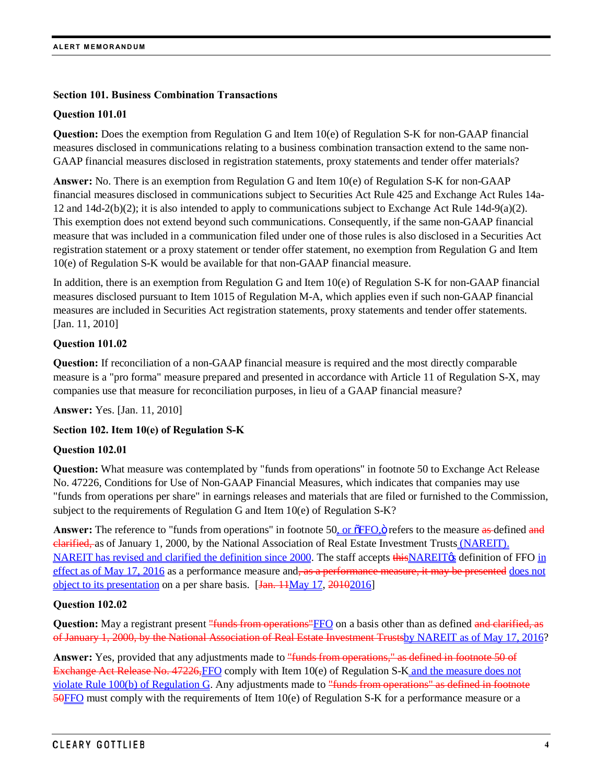# **Section 101. Business Combination Transactions**

### **Question 101.01**

**Question:** Does the exemption from Regulation G and Item 10(e) of Regulation S-K for non-GAAP financial measures disclosed in communications relating to a business combination transaction extend to the same non-GAAP financial measures disclosed in registration statements, proxy statements and tender offer materials?

**Answer:** No. There is an exemption from Regulation G and Item 10(e) of Regulation S-K for non-GAAP financial measures disclosed in communications subject to Securities Act Rule 425 and Exchange Act Rules 14a-12 and 14d-2(b)(2); it is also intended to apply to communications subject to Exchange Act Rule 14d-9(a)(2). This exemption does not extend beyond such communications. Consequently, if the same non-GAAP financial measure that was included in a communication filed under one of those rules is also disclosed in a Securities Act registration statement or a proxy statement or tender offer statement, no exemption from Regulation G and Item 10(e) of Regulation S-K would be available for that non-GAAP financial measure.

In addition, there is an exemption from Regulation G and Item 10(e) of Regulation S-K for non-GAAP financial measures disclosed pursuant to Item 1015 of Regulation M-A, which applies even if such non-GAAP financial measures are included in Securities Act registration statements, proxy statements and tender offer statements. [Jan. 11, 2010]

# **Question 101.02**

**Question:** If reconciliation of a non-GAAP financial measure is required and the most directly comparable measure is a "pro forma" measure prepared and presented in accordance with Article 11 of Regulation S-X, may companies use that measure for reconciliation purposes, in lieu of a GAAP financial measure?

**Answer:** Yes. [Jan. 11, 2010]

# **Section 102. Item 10(e) of Regulation S-K**

# **Question 102.01**

**Question:** What measure was contemplated by "funds from operations" in footnote 50 to Exchange Act Release No. 47226, Conditions for Use of Non-GAAP Financial Measures, which indicates that companies may use "funds from operations per share" in earnings releases and materials that are filed or furnished to the Commission, subject to the requirements of Regulation G and Item 10(e) of Regulation S-K?

**Answer:** The reference to "funds from operations" in footnote 50, or  $\delta$ FFO,  $\delta$  refers to the measure as defined and elarified, as of January 1, 2000, by the National Association of Real Estate Investment Trusts (NAREIT). NAREIT has revised and clarified the definition since 2000. The staff accepts this NAREIT<sub>OS</sub> definition of FFO in effect as of May 17, 2016 as a performance measure and, as a performance measure, it may be presented does not object to its presentation on a per share basis. [<del>Jan. 11</del>May 17, 20102016]

### **Question 102.02**

**Question:** May a registrant present "*funds from operations*"FFQ on a basis other than as defined and clarified, as of January 1, 2000, by the National Association of Real Estate Investment Trustsby NAREIT as of May 17, 2016?

Answer: Yes, provided that any adjustments made to "funds from operations," as defined in footnote 50 of Exchange Act Release No. 47226, FFO comply with Item 10(e) of Regulation S-K and the measure does not violate Rule 100(b) of Regulation G. Any adjustments made to "funds from operations" as defined in footnote  $\overline{50}$ FFO must comply with the requirements of Item 10(e) of Regulation S-K for a performance measure or a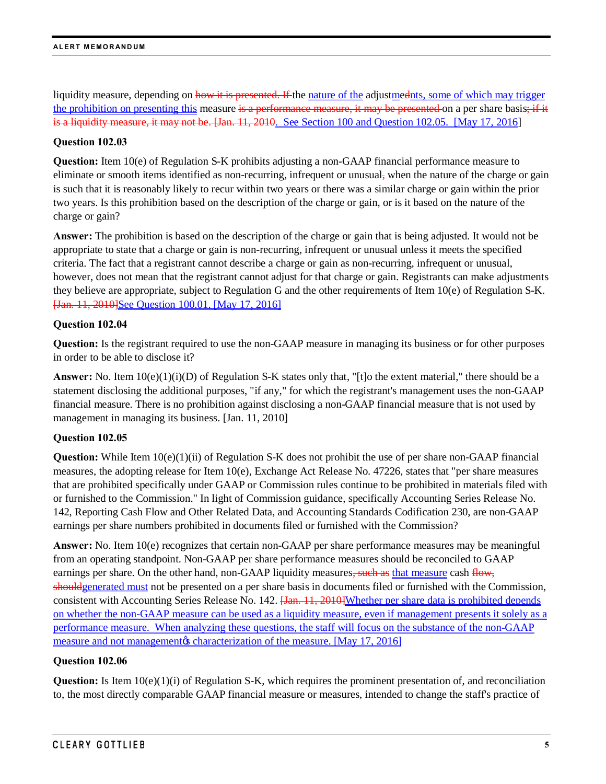liquidity measure, depending on how it is presented. If the nature of the adjustmednts, some of which may trigger the prohibition on presenting this measure is a performance measure, it may be presented on a per share basis; if it is a liquidity measure, it may not be. [Jan. 11, 2010. See Section 100 and Question 102.05. [May 17, 2016]

## **Question 102.03**

**Question:** Item 10(e) of Regulation S-K prohibits adjusting a non-GAAP financial performance measure to eliminate or smooth items identified as non-recurring, infrequent or unusual, when the nature of the charge or gain is such that it is reasonably likely to recur within two years or there was a similar charge or gain within the prior two years. Is this prohibition based on the description of the charge or gain, or is it based on the nature of the charge or gain?

**Answer:** The prohibition is based on the description of the charge or gain that is being adjusted. It would not be appropriate to state that a charge or gain is non-recurring, infrequent or unusual unless it meets the specified criteria. The fact that a registrant cannot describe a charge or gain as non-recurring, infrequent or unusual, however, does not mean that the registrant cannot adjust for that charge or gain. Registrants can make adjustments they believe are appropriate, subject to Regulation G and the other requirements of Item 10(e) of Regulation S-K. [Jan. 11, 2010]See Question 100.01. [May 17, 2016]

## **Question 102.04**

**Question:** Is the registrant required to use the non-GAAP measure in managing its business or for other purposes in order to be able to disclose it?

**Answer:** No. Item 10(e)(1)(i)(D) of Regulation S-K states only that, "[t]o the extent material," there should be a statement disclosing the additional purposes, "if any," for which the registrant's management uses the non-GAAP financial measure. There is no prohibition against disclosing a non-GAAP financial measure that is not used by management in managing its business. [Jan. 11, 2010]

# **Question 102.05**

**Question:** While Item 10(e)(1)(ii) of Regulation S-K does not prohibit the use of per share non-GAAP financial measures, the adopting release for Item 10(e), Exchange Act Release No. 47226, states that "per share measures that are prohibited specifically under GAAP or Commission rules continue to be prohibited in materials filed with or furnished to the Commission." In light of Commission guidance, specifically Accounting Series Release No. 142, Reporting Cash Flow and Other Related Data, and Accounting Standards Codification 230, are non-GAAP earnings per share numbers prohibited in documents filed or furnished with the Commission?

**Answer:** No. Item 10(e) recognizes that certain non-GAAP per share performance measures may be meaningful from an operating standpoint. Non-GAAP per share performance measures should be reconciled to GAAP earnings per share. On the other hand, non-GAAP liquidity measures, such as that measure cash flow, should generated must not be presented on a per share basis in documents filed or furnished with the Commission, consistent with Accounting Series Release No. 142. <del>[Jan. 11, 2010]Whether per share data</del> is prohibited depends on whether the non-GAAP measure can be used as a liquidity measure, even if management presents it solely as a performance measure. When analyzing these questions, the staff will focus on the substance of the non-GAAP measure and not management to characterization of the measure. [May 17, 2016]

### **Question 102.06**

**Question:** Is Item 10(e)(1)(i) of Regulation S-K, which requires the prominent presentation of, and reconciliation to, the most directly comparable GAAP financial measure or measures, intended to change the staff's practice of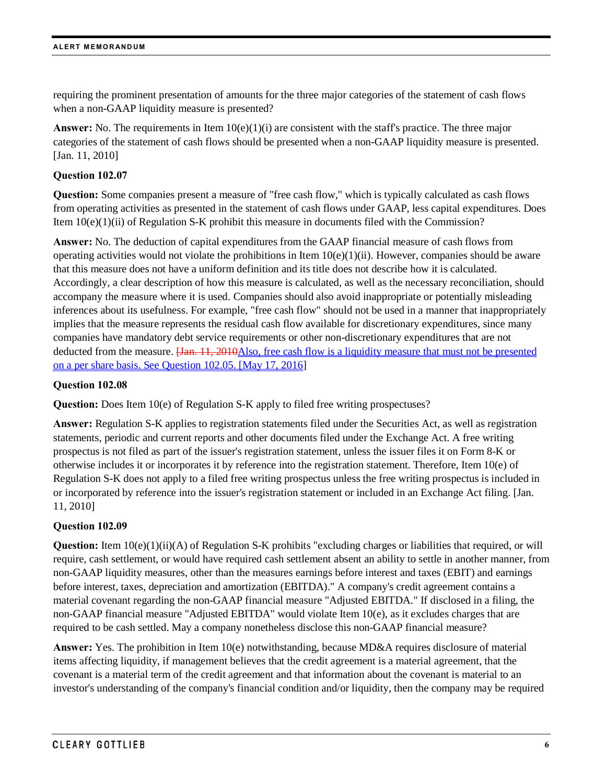requiring the prominent presentation of amounts for the three major categories of the statement of cash flows when a non-GAAP liquidity measure is presented?

**Answer:** No. The requirements in Item  $10(e)(1)(i)$  are consistent with the staff's practice. The three major categories of the statement of cash flows should be presented when a non-GAAP liquidity measure is presented. [Jan. 11, 2010]

## **Question 102.07**

**Question:** Some companies present a measure of "free cash flow," which is typically calculated as cash flows from operating activities as presented in the statement of cash flows under GAAP, less capital expenditures. Does Item 10(e)(1)(ii) of Regulation S-K prohibit this measure in documents filed with the Commission?

**Answer:** No. The deduction of capital expenditures from the GAAP financial measure of cash flows from operating activities would not violate the prohibitions in Item  $10(e)(1)(ii)$ . However, companies should be aware that this measure does not have a uniform definition and its title does not describe how it is calculated. Accordingly, a clear description of how this measure is calculated, as well as the necessary reconciliation, should accompany the measure where it is used. Companies should also avoid inappropriate or potentially misleading inferences about its usefulness. For example, "free cash flow" should not be used in a manner that inappropriately implies that the measure represents the residual cash flow available for discretionary expenditures, since many companies have mandatory debt service requirements or other non-discretionary expenditures that are not deducted from the measure. Han. 11, 2010Also, free cash flow is a liquidity measure that must not be presented on a per share basis. See Question 102.05. [May 17, 2016]

## **Question 102.08**

**Question:** Does Item 10(e) of Regulation S-K apply to filed free writing prospectuses?

**Answer:** Regulation S-K applies to registration statements filed under the Securities Act, as well as registration statements, periodic and current reports and other documents filed under the Exchange Act. A free writing prospectus is not filed as part of the issuer's registration statement, unless the issuer files it on Form 8-K or otherwise includes it or incorporates it by reference into the registration statement. Therefore, Item 10(e) of Regulation S-K does not apply to a filed free writing prospectus unless the free writing prospectus is included in or incorporated by reference into the issuer's registration statement or included in an Exchange Act filing. [Jan. 11, 2010]

# **Question 102.09**

**Question:** Item  $10(e)(1)(ii)(A)$  of Regulation S-K prohibits "excluding charges or liabilities that required, or will require, cash settlement, or would have required cash settlement absent an ability to settle in another manner, from non-GAAP liquidity measures, other than the measures earnings before interest and taxes (EBIT) and earnings before interest, taxes, depreciation and amortization (EBITDA)." A company's credit agreement contains a material covenant regarding the non-GAAP financial measure "Adjusted EBITDA." If disclosed in a filing, the non-GAAP financial measure "Adjusted EBITDA" would violate Item 10(e), as it excludes charges that are required to be cash settled. May a company nonetheless disclose this non-GAAP financial measure?

**Answer:** Yes. The prohibition in Item 10(e) notwithstanding, because MD&A requires disclosure of material items affecting liquidity, if management believes that the credit agreement is a material agreement, that the covenant is a material term of the credit agreement and that information about the covenant is material to an investor's understanding of the company's financial condition and/or liquidity, then the company may be required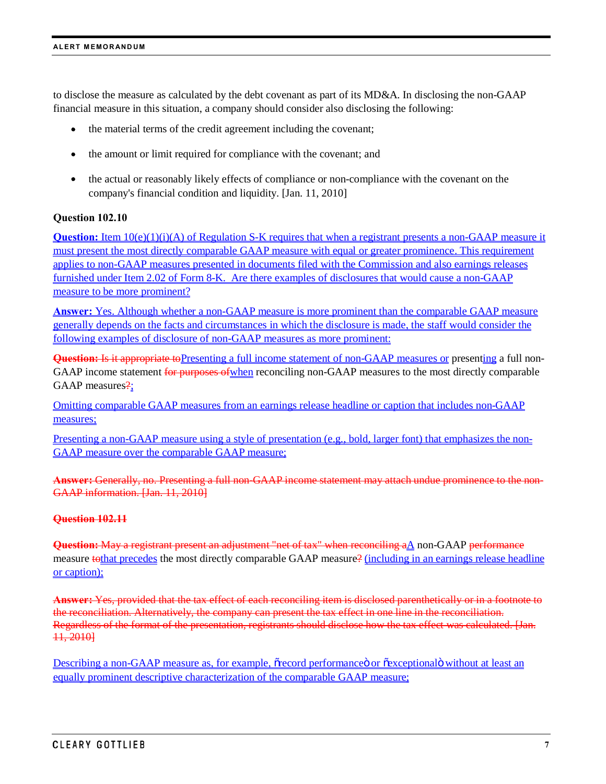to disclose the measure as calculated by the debt covenant as part of its MD&A. In disclosing the non-GAAP financial measure in this situation, a company should consider also disclosing the following:

- the material terms of the credit agreement including the covenant;
- the amount or limit required for compliance with the covenant; and
- the actual or reasonably likely effects of compliance or non-compliance with the covenant on the company's financial condition and liquidity. [Jan. 11, 2010]

### **Question 102.10**

**Question:** Item  $10(e)(1)(i)(A)$  of Regulation S-K requires that when a registrant presents a non-GAAP measure it must present the most directly comparable GAAP measure with equal or greater prominence. This requirement applies to non-GAAP measures presented in documents filed with the Commission and also earnings releases furnished under Item 2.02 of Form 8-K. Are there examples of disclosures that would cause a non-GAAP measure to be more prominent?

**Answer:** Yes. Although whether a non-GAAP measure is more prominent than the comparable GAAP measure generally depends on the facts and circumstances in which the disclosure is made, the staff would consider the following examples of disclosure of non-GAAP measures as more prominent:

**Question:** Is it appropriate toPresenting a full income statement of non-GAAP measures or presenting a full non-GAAP income statement for purposes of when reconciling non-GAAP measures to the most directly comparable GAAP measures?;

Omitting comparable GAAP measures from an earnings release headline or caption that includes non-GAAP measures;

Presenting a non-GAAP measure using a style of presentation (e.g., bold, larger font) that emphasizes the non-GAAP measure over the comparable GAAP measure;

**Answer:** Generally, no. Presenting a full non-GAAP income statement may attach undue prominence to the non-GAAP information. [Jan. 11, 2010]

### **Question 102.11**

**Question:** May a registrant present an adjustment "net of tax" when reconciling aA non-GAAP performance measure to that precedes the most directly comparable GAAP measure? (including in an earnings release headline or caption);

**Answer:** Yes, provided that the tax effect of each reconciling item is disclosed parenthetically or in a footnote to the reconciliation. Alternatively, the company can present the tax effect in one line in the reconciliation. Regardless of the format of the presentation, registrants should disclose how the tax effect was calculated. [Jan. 11, 2010]

Describing a non-GAAP measure as, for example,  $\tilde{o}$ record performance or  $\tilde{o}$ exceptional  $\tilde{o}$  without at least an equally prominent descriptive characterization of the comparable GAAP measure;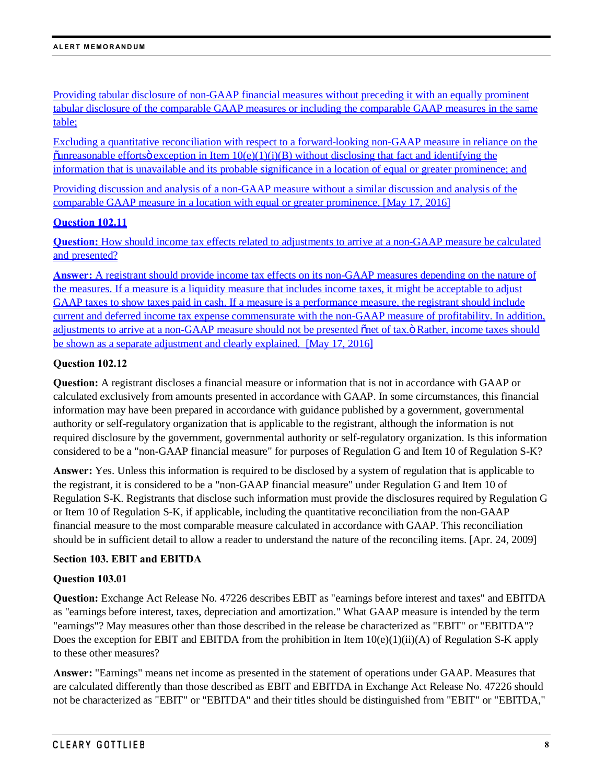Providing tabular disclosure of non-GAAP financial measures without preceding it with an equally prominent tabular disclosure of the comparable GAAP measures or including the comparable GAAP measures in the same table;

Excluding a quantitative reconciliation with respect to a forward-looking non-GAAP measure in reliance on the  $\tilde{\text{a}}$  unreasonable efforts  $\ddot{\text{o}}$  exception in Item 10(e)(1)(i)(B) without disclosing that fact and identifying the information that is unavailable and its probable significance in a location of equal or greater prominence; and

Providing discussion and analysis of a non-GAAP measure without a similar discussion and analysis of the comparable GAAP measure in a location with equal or greater prominence. [May 17, 2016]

# **Question 102.11**

**Question:** How should income tax effects related to adjustments to arrive at a non-GAAP measure be calculated and presented?

**Answer:** A registrant should provide income tax effects on its non-GAAP measures depending on the nature of the measures. If a measure is a liquidity measure that includes income taxes, it might be acceptable to adjust GAAP taxes to show taxes paid in cash. If a measure is a performance measure, the registrant should include current and deferred income tax expense commensurate with the non-GAAP measure of profitability. In addition, adjustments to arrive at a non-GAAP measure should not be presented onet of tax.  $\ddot{o}$  Rather, income taxes should be shown as a separate adjustment and clearly explained. [May 17, 2016]

# **Question 102.12**

**Question:** A registrant discloses a financial measure or information that is not in accordance with GAAP or calculated exclusively from amounts presented in accordance with GAAP. In some circumstances, this financial information may have been prepared in accordance with guidance published by a government, governmental authority or self-regulatory organization that is applicable to the registrant, although the information is not required disclosure by the government, governmental authority or self-regulatory organization. Is this information considered to be a "non-GAAP financial measure" for purposes of Regulation G and Item 10 of Regulation S-K?

**Answer:** Yes. Unless this information is required to be disclosed by a system of regulation that is applicable to the registrant, it is considered to be a "non-GAAP financial measure" under Regulation G and Item 10 of Regulation S-K. Registrants that disclose such information must provide the disclosures required by Regulation G or Item 10 of Regulation S-K, if applicable, including the quantitative reconciliation from the non-GAAP financial measure to the most comparable measure calculated in accordance with GAAP. This reconciliation should be in sufficient detail to allow a reader to understand the nature of the reconciling items. [Apr. 24, 2009]

# **Section 103. EBIT and EBITDA**

# **Question 103.01**

**Question:** Exchange Act Release No. 47226 describes EBIT as "earnings before interest and taxes" and EBITDA as "earnings before interest, taxes, depreciation and amortization." What GAAP measure is intended by the term "earnings"? May measures other than those described in the release be characterized as "EBIT" or "EBITDA"? Does the exception for EBIT and EBITDA from the prohibition in Item  $10(e)(1)(ii)(A)$  of Regulation S-K apply to these other measures?

**Answer:** "Earnings" means net income as presented in the statement of operations under GAAP. Measures that are calculated differently than those described as EBIT and EBITDA in Exchange Act Release No. 47226 should not be characterized as "EBIT" or "EBITDA" and their titles should be distinguished from "EBIT" or "EBITDA,"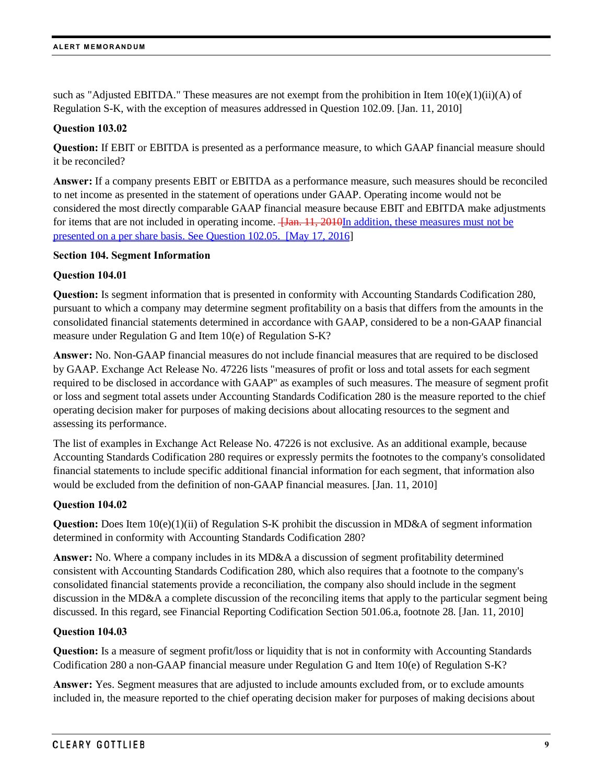such as "Adjusted EBITDA." These measures are not exempt from the prohibition in Item  $10(e)(1)(ii)(A)$  of Regulation S-K, with the exception of measures addressed in Question 102.09. [Jan. 11, 2010]

### **Question 103.02**

**Question:** If EBIT or EBITDA is presented as a performance measure, to which GAAP financial measure should it be reconciled?

**Answer:** If a company presents EBIT or EBITDA as a performance measure, such measures should be reconciled to net income as presented in the statement of operations under GAAP. Operating income would not be considered the most directly comparable GAAP financial measure because EBIT and EBITDA make adjustments for items that are not included in operating income. **Han. 11, 2010**In addition, these measures must not be presented on a per share basis. See Question 102.05. [May 17, 2016]

#### **Section 104. Segment Information**

#### **Question 104.01**

**Question:** Is segment information that is presented in conformity with Accounting Standards Codification 280, pursuant to which a company may determine segment profitability on a basis that differs from the amounts in the consolidated financial statements determined in accordance with GAAP, considered to be a non-GAAP financial measure under Regulation G and Item 10(e) of Regulation S-K?

**Answer:** No. Non-GAAP financial measures do not include financial measures that are required to be disclosed by GAAP. Exchange Act Release No. 47226 lists "measures of profit or loss and total assets for each segment required to be disclosed in accordance with GAAP" as examples of such measures. The measure of segment profit or loss and segment total assets under Accounting Standards Codification 280 is the measure reported to the chief operating decision maker for purposes of making decisions about allocating resources to the segment and assessing its performance.

The list of examples in Exchange Act Release No. 47226 is not exclusive. As an additional example, because Accounting Standards Codification 280 requires or expressly permits the footnotes to the company's consolidated financial statements to include specific additional financial information for each segment, that information also would be excluded from the definition of non-GAAP financial measures. [Jan. 11, 2010]

### **Question 104.02**

**Question:** Does Item  $10(e)(1)(ii)$  of Regulation S-K prohibit the discussion in MD&A of segment information determined in conformity with Accounting Standards Codification 280?

**Answer:** No. Where a company includes in its MD&A a discussion of segment profitability determined consistent with Accounting Standards Codification 280, which also requires that a footnote to the company's consolidated financial statements provide a reconciliation, the company also should include in the segment discussion in the MD&A a complete discussion of the reconciling items that apply to the particular segment being discussed. In this regard, see Financial Reporting Codification Section 501.06.a, footnote 28. [Jan. 11, 2010]

### **Question 104.03**

**Question:** Is a measure of segment profit/loss or liquidity that is not in conformity with Accounting Standards Codification 280 a non-GAAP financial measure under Regulation G and Item 10(e) of Regulation S-K?

**Answer:** Yes. Segment measures that are adjusted to include amounts excluded from, or to exclude amounts included in, the measure reported to the chief operating decision maker for purposes of making decisions about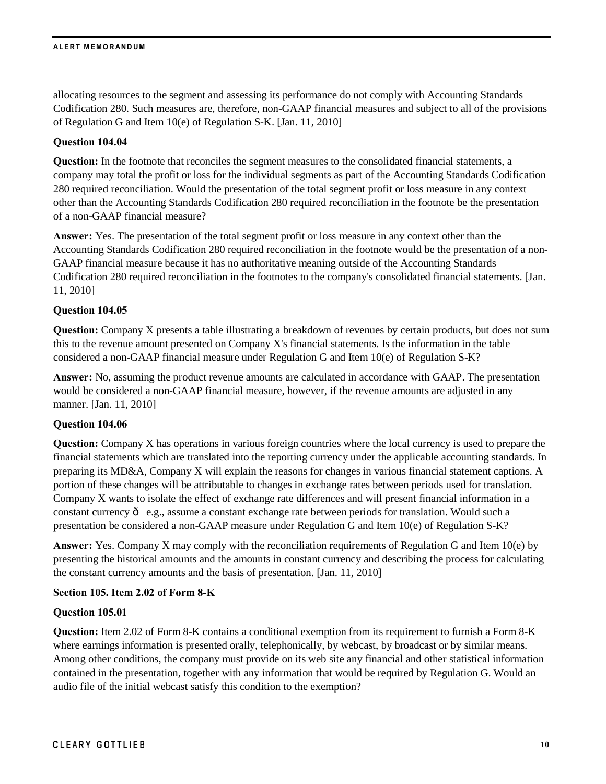allocating resources to the segment and assessing its performance do not comply with Accounting Standards Codification 280. Such measures are, therefore, non-GAAP financial measures and subject to all of the provisions of Regulation G and Item 10(e) of Regulation S-K. [Jan. 11, 2010]

## **Question 104.04**

**Question:** In the footnote that reconciles the segment measures to the consolidated financial statements, a company may total the profit or loss for the individual segments as part of the Accounting Standards Codification 280 required reconciliation. Would the presentation of the total segment profit or loss measure in any context other than the Accounting Standards Codification 280 required reconciliation in the footnote be the presentation of a non-GAAP financial measure?

**Answer:** Yes. The presentation of the total segment profit or loss measure in any context other than the Accounting Standards Codification 280 required reconciliation in the footnote would be the presentation of a non-GAAP financial measure because it has no authoritative meaning outside of the Accounting Standards Codification 280 required reconciliation in the footnotes to the company's consolidated financial statements. [Jan. 11, 2010]

### **Question 104.05**

**Question:** Company X presents a table illustrating a breakdown of revenues by certain products, but does not sum this to the revenue amount presented on Company X's financial statements. Is the information in the table considered a non-GAAP financial measure under Regulation G and Item 10(e) of Regulation S-K?

**Answer:** No, assuming the product revenue amounts are calculated in accordance with GAAP. The presentation would be considered a non-GAAP financial measure, however, if the revenue amounts are adjusted in any manner. [Jan. 11, 2010]

### **Question 104.06**

**Question:** Company X has operations in various foreign countries where the local currency is used to prepare the financial statements which are translated into the reporting currency under the applicable accounting standards. In preparing its MD&A, Company X will explain the reasons for changes in various financial statement captions. A portion of these changes will be attributable to changes in exchange rates between periods used for translation. Company X wants to isolate the effect of exchange rate differences and will present financial information in a constant currency  $\hat{o}$  e.g., assume a constant exchange rate between periods for translation. Would such a presentation be considered a non-GAAP measure under Regulation G and Item 10(e) of Regulation S-K?

**Answer:** Yes. Company X may comply with the reconciliation requirements of Regulation G and Item 10(e) by presenting the historical amounts and the amounts in constant currency and describing the process for calculating the constant currency amounts and the basis of presentation. [Jan. 11, 2010]

### **Section 105. Item 2.02 of Form 8-K**

### **Question 105.01**

**Question:** Item 2.02 of Form 8-K contains a conditional exemption from its requirement to furnish a Form 8-K where earnings information is presented orally, telephonically, by webcast, by broadcast or by similar means. Among other conditions, the company must provide on its web site any financial and other statistical information contained in the presentation, together with any information that would be required by Regulation G. Would an audio file of the initial webcast satisfy this condition to the exemption?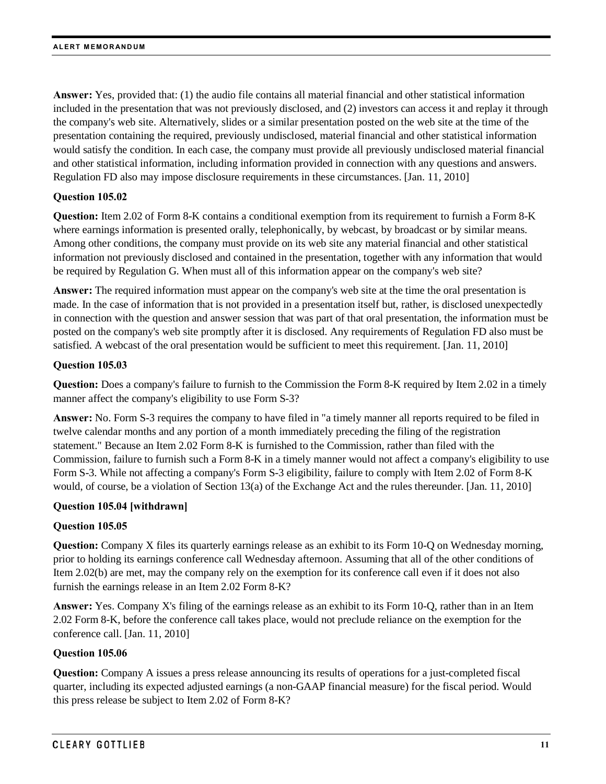**Answer:** Yes, provided that: (1) the audio file contains all material financial and other statistical information included in the presentation that was not previously disclosed, and (2) investors can access it and replay it through the company's web site. Alternatively, slides or a similar presentation posted on the web site at the time of the presentation containing the required, previously undisclosed, material financial and other statistical information would satisfy the condition. In each case, the company must provide all previously undisclosed material financial and other statistical information, including information provided in connection with any questions and answers. Regulation FD also may impose disclosure requirements in these circumstances. [Jan. 11, 2010]

# **Question 105.02**

**Question:** Item 2.02 of Form 8-K contains a conditional exemption from its requirement to furnish a Form 8-K where earnings information is presented orally, telephonically, by webcast, by broadcast or by similar means. Among other conditions, the company must provide on its web site any material financial and other statistical information not previously disclosed and contained in the presentation, together with any information that would be required by Regulation G. When must all of this information appear on the company's web site?

**Answer:** The required information must appear on the company's web site at the time the oral presentation is made. In the case of information that is not provided in a presentation itself but, rather, is disclosed unexpectedly in connection with the question and answer session that was part of that oral presentation, the information must be posted on the company's web site promptly after it is disclosed. Any requirements of Regulation FD also must be satisfied. A webcast of the oral presentation would be sufficient to meet this requirement. [Jan. 11, 2010]

## **Question 105.03**

**Question:** Does a company's failure to furnish to the Commission the Form 8-K required by Item 2.02 in a timely manner affect the company's eligibility to use Form S-3?

**Answer:** No. Form S-3 requires the company to have filed in "a timely manner all reports required to be filed in twelve calendar months and any portion of a month immediately preceding the filing of the registration statement." Because an Item 2.02 Form 8-K is furnished to the Commission, rather than filed with the Commission, failure to furnish such a Form 8-K in a timely manner would not affect a company's eligibility to use Form S-3. While not affecting a company's Form S-3 eligibility, failure to comply with Item 2.02 of Form 8-K would, of course, be a violation of Section 13(a) of the Exchange Act and the rules thereunder. [Jan. 11, 2010]

# **Question 105.04 [withdrawn]**

# **Question 105.05**

**Question:** Company X files its quarterly earnings release as an exhibit to its Form 10-Q on Wednesday morning, prior to holding its earnings conference call Wednesday afternoon. Assuming that all of the other conditions of Item 2.02(b) are met, may the company rely on the exemption for its conference call even if it does not also furnish the earnings release in an Item 2.02 Form 8-K?

**Answer:** Yes. Company X's filing of the earnings release as an exhibit to its Form 10-Q, rather than in an Item 2.02 Form 8-K, before the conference call takes place, would not preclude reliance on the exemption for the conference call. [Jan. 11, 2010]

### **Question 105.06**

**Question:** Company A issues a press release announcing its results of operations for a just-completed fiscal quarter, including its expected adjusted earnings (a non-GAAP financial measure) for the fiscal period. Would this press release be subject to Item 2.02 of Form 8-K?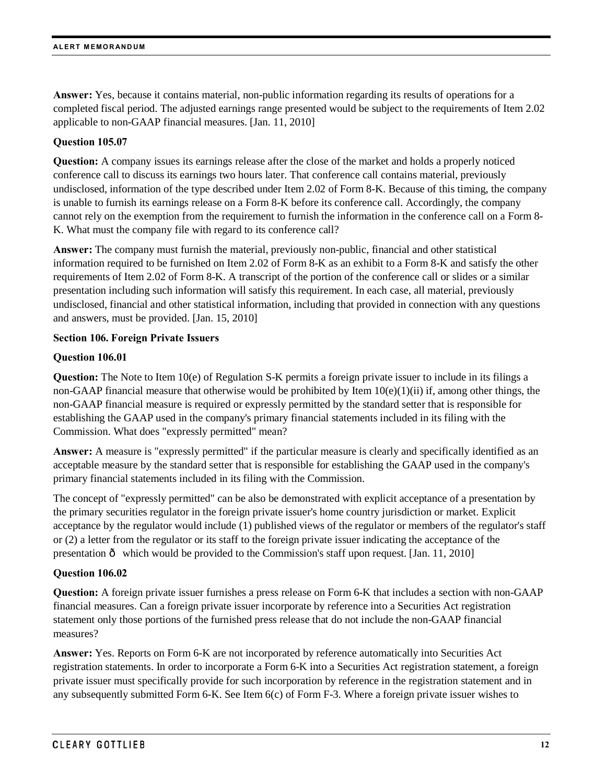**Answer:** Yes, because it contains material, non-public information regarding its results of operations for a completed fiscal period. The adjusted earnings range presented would be subject to the requirements of Item 2.02 applicable to non-GAAP financial measures. [Jan. 11, 2010]

# **Question 105.07**

**Question:** A company issues its earnings release after the close of the market and holds a properly noticed conference call to discuss its earnings two hours later. That conference call contains material, previously undisclosed, information of the type described under Item 2.02 of Form 8-K. Because of this timing, the company is unable to furnish its earnings release on a Form 8-K before its conference call. Accordingly, the company cannot rely on the exemption from the requirement to furnish the information in the conference call on a Form 8- K. What must the company file with regard to its conference call?

**Answer:** The company must furnish the material, previously non-public, financial and other statistical information required to be furnished on Item 2.02 of Form 8-K as an exhibit to a Form 8-K and satisfy the other requirements of Item 2.02 of Form 8-K. A transcript of the portion of the conference call or slides or a similar presentation including such information will satisfy this requirement. In each case, all material, previously undisclosed, financial and other statistical information, including that provided in connection with any questions and answers, must be provided. [Jan. 15, 2010]

### **Section 106. Foreign Private Issuers**

### **Question 106.01**

**Question:** The Note to Item 10(e) of Regulation S-K permits a foreign private issuer to include in its filings a non-GAAP financial measure that otherwise would be prohibited by Item  $10(e)(1)(ii)$  if, among other things, the non-GAAP financial measure is required or expressly permitted by the standard setter that is responsible for establishing the GAAP used in the company's primary financial statements included in its filing with the Commission. What does "expressly permitted" mean?

**Answer:** A measure is "expressly permitted" if the particular measure is clearly and specifically identified as an acceptable measure by the standard setter that is responsible for establishing the GAAP used in the company's primary financial statements included in its filing with the Commission.

The concept of "expressly permitted" can be also be demonstrated with explicit acceptance of a presentation by the primary securities regulator in the foreign private issuer's home country jurisdiction or market. Explicit acceptance by the regulator would include (1) published views of the regulator or members of the regulator's staff or (2) a letter from the regulator or its staff to the foreign private issuer indicating the acceptance of the presentation  $\hat{\sigma}$  which would be provided to the Commission's staff upon request. [Jan. 11, 2010]

### **Question 106.02**

**Question:** A foreign private issuer furnishes a press release on Form 6-K that includes a section with non-GAAP financial measures. Can a foreign private issuer incorporate by reference into a Securities Act registration statement only those portions of the furnished press release that do not include the non-GAAP financial measures?

**Answer:** Yes. Reports on Form 6-K are not incorporated by reference automatically into Securities Act registration statements. In order to incorporate a Form 6-K into a Securities Act registration statement, a foreign private issuer must specifically provide for such incorporation by reference in the registration statement and in any subsequently submitted Form 6-K. See Item 6(c) of Form F-3. Where a foreign private issuer wishes to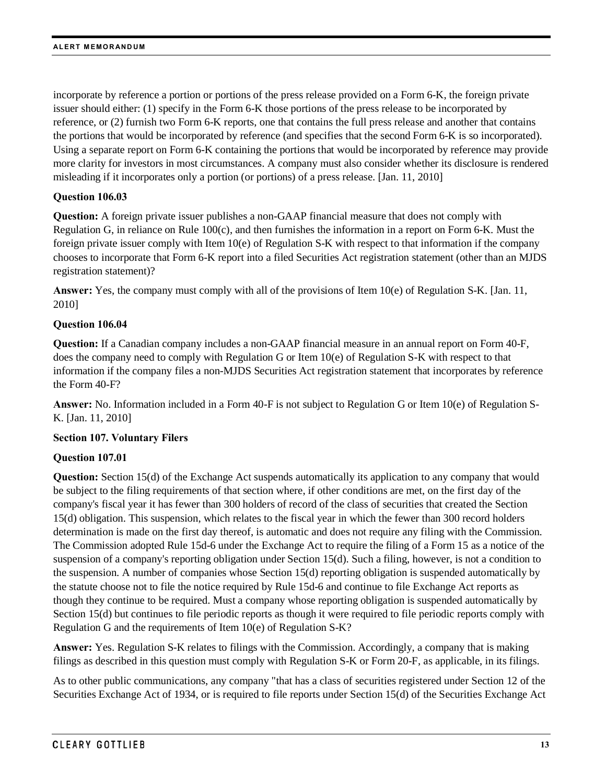incorporate by reference a portion or portions of the press release provided on a Form 6-K, the foreign private issuer should either: (1) specify in the Form 6-K those portions of the press release to be incorporated by reference, or (2) furnish two Form 6-K reports, one that contains the full press release and another that contains the portions that would be incorporated by reference (and specifies that the second Form 6-K is so incorporated). Using a separate report on Form 6-K containing the portions that would be incorporated by reference may provide more clarity for investors in most circumstances. A company must also consider whether its disclosure is rendered misleading if it incorporates only a portion (or portions) of a press release. [Jan. 11, 2010]

## **Question 106.03**

**Question:** A foreign private issuer publishes a non-GAAP financial measure that does not comply with Regulation G, in reliance on Rule 100(c), and then furnishes the information in a report on Form 6-K. Must the foreign private issuer comply with Item 10(e) of Regulation S-K with respect to that information if the company chooses to incorporate that Form 6-K report into a filed Securities Act registration statement (other than an MJDS registration statement)?

**Answer:** Yes, the company must comply with all of the provisions of Item 10(e) of Regulation S-K. [Jan. 11, 2010]

# **Question 106.04**

**Question:** If a Canadian company includes a non-GAAP financial measure in an annual report on Form 40-F, does the company need to comply with Regulation G or Item 10(e) of Regulation S-K with respect to that information if the company files a non-MJDS Securities Act registration statement that incorporates by reference the Form 40-F?

**Answer:** No. Information included in a Form 40-F is not subject to Regulation G or Item 10(e) of Regulation S-K. [Jan. 11, 2010]

### **Section 107. Voluntary Filers**

### **Question 107.01**

**Question:** Section 15(d) of the Exchange Act suspends automatically its application to any company that would be subject to the filing requirements of that section where, if other conditions are met, on the first day of the company's fiscal year it has fewer than 300 holders of record of the class of securities that created the Section 15(d) obligation. This suspension, which relates to the fiscal year in which the fewer than 300 record holders determination is made on the first day thereof, is automatic and does not require any filing with the Commission. The Commission adopted Rule 15d-6 under the Exchange Act to require the filing of a Form 15 as a notice of the suspension of a company's reporting obligation under Section 15(d). Such a filing, however, is not a condition to the suspension. A number of companies whose Section 15(d) reporting obligation is suspended automatically by the statute choose not to file the notice required by Rule 15d-6 and continue to file Exchange Act reports as though they continue to be required. Must a company whose reporting obligation is suspended automatically by Section 15(d) but continues to file periodic reports as though it were required to file periodic reports comply with Regulation G and the requirements of Item 10(e) of Regulation S-K?

**Answer:** Yes. Regulation S-K relates to filings with the Commission. Accordingly, a company that is making filings as described in this question must comply with Regulation S-K or Form 20-F, as applicable, in its filings.

As to other public communications, any company "that has a class of securities registered under Section 12 of the Securities Exchange Act of 1934, or is required to file reports under Section 15(d) of the Securities Exchange Act